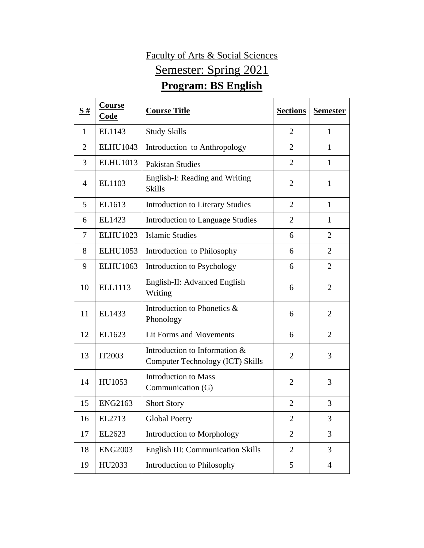## Faculty of Arts & Social Sciences Semester: Spring 2021 **Program: BS English**

| S#             | Course<br>Code  | <b>Course Title</b>                                               | <b>Sections</b> | <b>Semester</b> |
|----------------|-----------------|-------------------------------------------------------------------|-----------------|-----------------|
| $\mathbf{1}$   | EL1143          | <b>Study Skills</b>                                               | $\overline{2}$  | 1               |
| $\overline{2}$ | <b>ELHU1043</b> | Introduction to Anthropology                                      | $\overline{2}$  | 1               |
| 3              | <b>ELHU1013</b> | <b>Pakistan Studies</b>                                           | $\overline{2}$  | 1               |
| $\overline{4}$ | EL1103          | English-I: Reading and Writing<br><b>Skills</b>                   | $\overline{2}$  | $\mathbf{1}$    |
| 5              | EL1613          | <b>Introduction to Literary Studies</b>                           | $\overline{2}$  | $\mathbf{1}$    |
| 6              | EL1423          | <b>Introduction to Language Studies</b>                           | $\overline{2}$  | 1               |
| 7              | <b>ELHU1023</b> | <b>Islamic Studies</b>                                            | 6               | $\overline{2}$  |
| 8              | <b>ELHU1053</b> | Introduction to Philosophy                                        | 6               | $\overline{2}$  |
| 9              | <b>ELHU1063</b> | Introduction to Psychology                                        | 6               | $\overline{2}$  |
| 10             | <b>ELL1113</b>  | English-II: Advanced English<br>Writing                           | 6               | $\overline{2}$  |
| 11             | EL1433          | Introduction to Phonetics &<br>Phonology                          | 6               | $\overline{2}$  |
| 12             | EL1623          | Lit Forms and Movements                                           | 6               | $\overline{2}$  |
| 13             | IT2003          | Introduction to Information &<br>Computer Technology (ICT) Skills | $\overline{2}$  | 3               |
| 14             | HU1053          | <b>Introduction to Mass</b><br>Communication (G)                  | $\overline{2}$  | 3               |
| 15             | <b>ENG2163</b>  | <b>Short Story</b>                                                | $\overline{2}$  | 3               |
| 16             | EL2713          | <b>Global Poetry</b>                                              | $\overline{2}$  | 3               |
| 17             | EL2623          | Introduction to Morphology                                        | $\overline{2}$  | 3               |
| 18             | <b>ENG2003</b>  | English III: Communication Skills                                 | $\overline{2}$  | 3               |
| 19             | HU2033          | Introduction to Philosophy                                        | 5               | $\overline{4}$  |